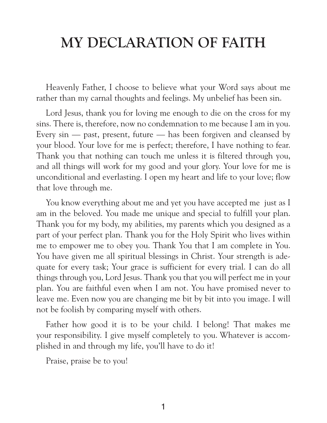# **MY DECLARATION OF FAITH**

Heavenly Father, I choose to believe what your Word says about me rather than my carnal thoughts and feelings. My unbelief has been sin.

Lord Jesus, thank you for loving me enough to die on the cross for my sins. There is, therefore, now no condemnation to me because I am in you. Every sin — past, present, future — has been forgiven and cleansed by your blood. Your love for me is perfect; therefore, I have nothing to fear. Thank you that nothing can touch me unless it is filtered through you, and all things will work for my good and your glory. Your love for me is unconditional and everlasting. I open my heart and life to your love; flow that love through me.

You know everything about me and yet you have accepted me just as I am in the beloved. You made me unique and special to fulfill your plan. Thank you for my body, my abilities, my parents which you designed as a part of your perfect plan. Thank you for the Holy Spirit who lives within me to empower me to obey you. Thank You that I am complete in You. You have given me all spiritual blessings in Christ. Your strength is adequate for every task; Your grace is sufficient for every trial. I can do all things through you, Lord Jesus. Thank you that you will perfect me in your plan. You are faithful even when I am not. You have promised never to leave me. Even now you are changing me bit by bit into you image. I will not be foolish by comparing myself with others.

Father how good it is to be your child. I belong! That makes me your responsibility. I give myself completely to you. Whatever is accomplished in and through my life, you'll have to do it!

Praise, praise be to you!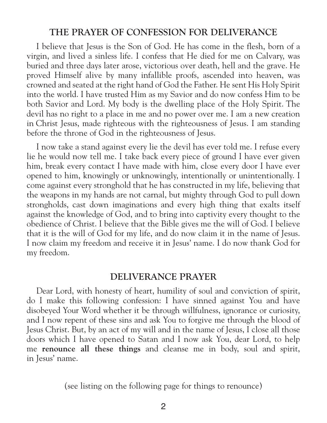### **THE PRAYER OF CONFESSION FOR DELIVERANCE**

I believe that Jesus is the Son of God. He has come in the flesh, born of a virgin, and lived a sinless life. I confess that He died for me on Calvary, was buried and three days later arose, victorious over death, hell and the grave. He proved Himself alive by many infallible proofs, ascended into heaven, was crowned and seated at the right hand of God the Father. He sent His Holy Spirit into the world. I have trusted Him as my Savior and do now confess Him to be both Savior and Lord. My body is the dwelling place of the Holy Spirit. The devil has no right to a place in me and no power over me. I am a new creation in Christ Jesus, made righteous with the righteousness of Jesus. I am standing before the throne of God in the righteousness of Jesus.

I now take a stand against every lie the devil has ever told me. I refuse every lie he would now tell me. I take back every piece of ground I have ever given him, break every contact I have made with him, close every door I have ever opened to him, knowingly or unknowingly, intentionally or unintentionally. I come against every stronghold that he has constructed in my life, believing that the weapons in my hands are not carnal, but mighty through God to pull down strongholds, cast down imaginations and every high thing that exalts itself against the knowledge of God, and to bring into captivity every thought to the obedience of Christ. I believe that the Bible gives me the will of God. I believe that it is the will of God for my life, and do now claim it in the name of Jesus. I now claim my freedom and receive it in Jesus' name. I do now thank God for my freedom.

### **DELIVERANCE PRAYER**

Dear Lord, with honesty of heart, humility of soul and conviction of spirit, do I make this following confession: I have sinned against You and have disobeyed Your Word whether it be through willfulness, ignorance or curiosity, and I now repent of these sins and ask You to forgive me through the blood of Jesus Christ. But, by an act of my will and in the name of Jesus, I close all those doors which I have opened to Satan and I now ask You, dear Lord, to help me **renounce all these things** and cleanse me in body, soul and spirit, in Jesus' name.

(see listing on the following page for things to renounce)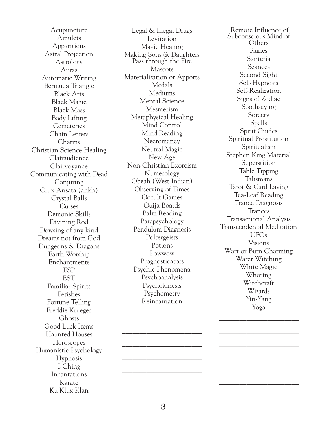Acupuncture Amulets Apparitions Astral Projection **Astrology** Auras Automatic Writing Bermuda Triangle Black Arts Black Magic Black Mass Body Lifting **Cemeteries** Chain Letters Charms Christian Science Healing Clairaudience Clairvoyance Communicating with Dead Conjuring Crux Ansata (ankh) Crystal Balls Curses Demonic Skills Divining Rod Dowsing of any kind Dreams not from God Dungeons & Dragons Earth Worship Enchantments ESP **EST** Familiar Spirits Fetishes Fortune Telling Freddie Krueger Ghosts Good Luck Items Haunted Houses Horoscopes Humanistic Psychology Hypnosis I-Ching Incantations Karate Ku Klux Klan

Legal & Illegal Drugs Levitation Magic Healing Making Sons & Daughters Pass through the Fire **Mascots** Materialization or Apports Medals Mediums Mental Science Mesmerism Metaphysical Healing Mind Control Mind Reading Necromancy Neutral Magic New Age Non-Christian Exorcism Numerology Obeah (West Indian) Observing of Times Occult Games Ouija Boards Palm Reading Parapsychology Pendulum Diagnosis Poltergeists Potions Powwow Prognosticators Psychic Phenomena Psychoanalysis Psychokinesis Psychometry Reincarnation

 Remote Influence of Subconscious Mind of **Others** Runes Santeria Seances Second Sight Self-Hypnosis Self-Realization Signs of Zodiac Soothsaying Sorcery Spells Spirit Guides Spiritual Prostitution Spiritualism Stephen King Material Superstition Table Tipping Talismans Tarot & Card Laying Tea-Leaf Reading Trance Diagnosis Trances Transactional Analysis Transcendental Meditation UFOs Visions Wart or Burn Charming Water Witching White Magic Whoring **Witchcraft** Wizards Yin-Yang Yoga

––––––––––––––––––––––– ––––––––––––––––––––––– ––––––––––––––––––––––– ––––––––––––––––––––––– ––––––––––––––––––––––– –––––––––––––––––––––––

––––––––––––––––––––––– ––––––––––––––––––––––– ––––––––––––––––––––––– ––––––––––––––––––––––– ––––––––––––––––––––––– –––––––––––––––––––––––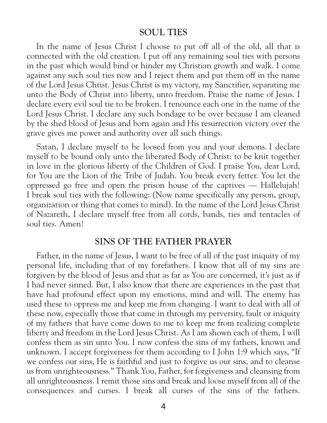#### **SOUL TIES**

In the name of Jesus Christ I choose to put off all of the old, all that is connected with the old creation. I put off any remaining soul ties with persons in the past which would bind or hinder my Christian growth and walk. I come against any such soul ties now and I reject them and put them off in the name of the Lord Jesus Christ. Jesus Christ is my victory, my Sanctifier, separating me unto the Body of Christ into liberty, unto freedom. Praise the name of Jesus. I declare every evil soul tie to be broken. I renounce each one in the name of the Lord Jesus Christ. I declare any such bondage to be over because I am cleaned by the shed blood of Jesus and born again and His resurrection victory over the grave gives me power and authority over all such things.

Satan, I declare myself to be loosed from you and your demons. I declare myself to be bound only unto the liberated Body of Christ: to be knit together in love in the glorious liberty of the Children of God. I praise You, dear Lord, for You are the Lion of the Tribe of Judah. You break every fetter. You let the oppressed go free and open the prison house of the captives — Hallelujah! I break soul ties with the following: (Now name specifically any person, group, organization or thing that comes to mind). In the name of the Lord Jesus Christ of Nazareth, I declare myself free from all cords, bands, ties and tentacles of soul ties. Amen!

### **SINS OF THE FATHER PRAYER**

Father, in the name of Jesus, I want to be free of all of the past iniquity of my personal life, including that of my forefathers. I know that all of my sins are forgiven by the blood of Jesus and that as far as You are concerned, it's just as if I had never sinned. But, I also know that there are experiences in the past that have had profound effect upon my emotions, mind and will. The enemy has used these to oppress me and keep me from changing. I want to deal with all of these now, especially those that came in through my perversity, fault or iniquity of my fathers that have come down to me to keep me from realizing complete liberty and freedom in the Lord Jesus Christ. As I am shown each of them, I will confess them as sin unto You. I now confess the sins of my fathers, known and unknown. I accept forgiveness for them according to I John 1:9 which says, "If we confess our sins, He is faithful and just to forgive us our sins, and to cleanse us from unrighteousness." Thank You, Father, for forgiveness and cleansing from all unrighteousness. I remit those sins and break and loose myself from all of the consequences and curses. I break all curses of the sins of the fathers.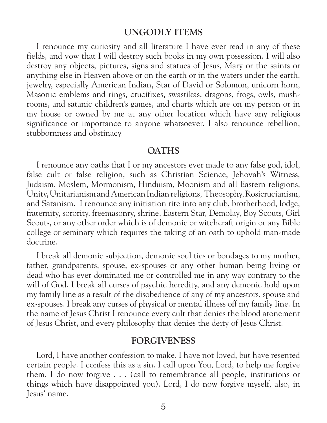### **UNGODLY ITEMS**

I renounce my curiosity and all literature I have ever read in any of these fields, and vow that I will destroy such books in my own possession. I will also destroy any objects, pictures, signs and statues of Jesus, Mary or the saints or anything else in Heaven above or on the earth or in the waters under the earth, jewelry, especially American Indian, Star of David or Solomon, unicorn horn, Masonic emblems and rings, crucifixes, swastikas, dragons, frogs, owls, mushrooms, and satanic children's games, and charts which are on my person or in my house or owned by me at any other location which have any religious significance or importance to anyone whatsoever. I also renounce rebellion, stubbornness and obstinacy.

### **OATHS**

I renounce any oaths that I or my ancestors ever made to any false god, idol, false cult or false religion, such as Christian Science, Jehovah's Witness, Judaism, Moslem, Mormonism, Hinduism, Moonism and all Eastern religions, Unity, Unitarianism and American Indian religions, Theosophy, Rosicrucianism, and Satanism. I renounce any initiation rite into any club, brotherhood, lodge, fraternity, sorority, freemasonry, shrine, Eastern Star, Demolay, Boy Scouts, Girl Scouts, or any other order which is of demonic or witchcraft origin or any Bible college or seminary which requires the taking of an oath to uphold man-made doctrine.

I break all demonic subjection, demonic soul ties or bondages to my mother, father, grandparents, spouse, ex-spouses or any other human being living or dead who has ever dominated me or controlled me in any way contrary to the will of God. I break all curses of psychic heredity, and any demonic hold upon my family line as a result of the disobedience of any of my ancestors, spouse and ex-spouses. I break any curses of physical or mental illness off my family line. In the name of Jesus Christ I renounce every cult that denies the blood atonement of Jesus Christ, and every philosophy that denies the deity of Jesus Christ.

#### **FORGIVENESS**

Lord, I have another confession to make. I have not loved, but have resented certain people. I confess this as a sin. I call upon You, Lord, to help me forgive them. I do now forgive . . . (call to remembrance all people, institutions or things which have disappointed you). Lord, I do now forgive myself, also, in Jesus' name.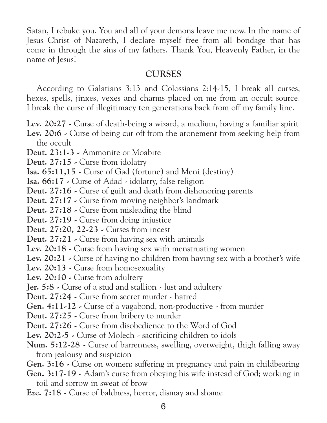Satan, I rebuke you. You and all of your demons leave me now. In the name of Jesus Christ of Nazareth, I declare myself free from all bondage that has come in through the sins of my fathers. Thank You, Heavenly Father, in the name of Jesus!

### **CURSES**

According to Galatians 3:13 and Colossians 2:14-15, I break all curses, hexes, spells, jinxes, vexes and charms placed on me from an occult source. I break the curse of illegitimacy ten generations back from off my family line.

**Lev. 20:27 -** Curse of death-being a wizard, a medium, having a familiar spirit

**Lev. 20:6 -** Curse of being cut off from the atonement from seeking help from the occult

**Deut. 23:1-3 -** Ammonite or Moabite

**Deut. 27:15 -** Curse from idolatry

**Isa. 65:11,15 -** Curse of Gad (fortune) and Meni (destiny)

**Isa. 66:17 -** Curse of Adad - idolatry, false religion

**Deut. 27:16 -** Curse of guilt and death from dishonoring parents

**Deut. 27:17 -** Curse from moving neighbor's landmark

**Deut. 27:18 -** Curse from misleading the blind

**Deut. 27:19 -** Curse from doing injustice

**Deut. 27:20, 22-23 -** Curses from incest

**Deut. 27:21 -** Curse from having sex with animals

**Lev. 20:18 -** Curse from having sex with menstruating women

**Lev. 20:21 -** Curse of having no children from having sex with a brother's wife

**Lev. 20:13 -** Curse from homosexuality

**Lev. 20:10 -** Curse from adultery

**Jer. 5:8 -** Curse of a stud and stallion - lust and adultery

**Deut. 27:24 -** Curse from secret murder - hatred

**Gen. 4:11-12 -** Curse of a vagabond, non-productive - from murder

**Deut. 27:25 -** Curse from bribery to murder

**Deut. 27:26 -** Curse from disobedience to the Word of God

**Lev. 20:2-5 -** Curse of Molech - sacrificing children to idols

**Num. 5:12-28 -** Curse of barrenness, swelling, overweight, thigh falling away from jealousy and suspicion

**Gen. 3:16 -** Curse on women: suffering in pregnancy and pain in childbearing

**Gen. 3:17-19 -** Adam's curse from obeying his wife instead of God; working in toil and sorrow in sweat of brow

**Eze. 7:18 -** Curse of baldness, horror, dismay and shame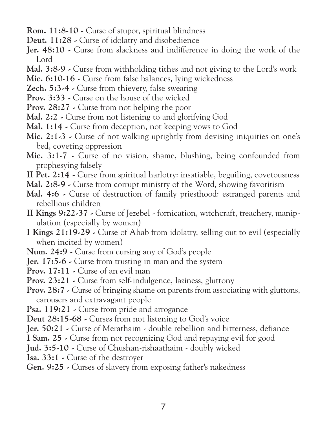- **Rom. 11:8-10 -** Curse of stupor, spiritual blindness
- **Deut. 11:28 -** Curse of idolatry and disobedience
- **Jer. 48:10 -** Curse from slackness and indifference in doing the work of the Lord
- **Mal. 3:8-9 -** Curse from withholding tithes and not giving to the Lord's work
- **Mic. 6:10-16 -** Curse from false balances, lying wickedness
- **Zech. 5:3-4 -** Curse from thievery, false swearing
- **Prov. 3:33 -** Curse on the house of the wicked
- Prov. 28:27 Curse from not helping the poor
- **Mal. 2:2 -** Curse from not listening to and glorifying God
- **Mal. 1:14 -** Curse from deception, not keeping vows to God
- Mic. 2:1-3 Curse of not walking uprightly from devising iniquities on one's bed, coveting oppression
- **Mic. 3:1-7 -** Curse of no vision, shame, blushing, being confounded from prophesying falsely
- **II Pet. 2:14 -** Curse from spiritual harlotry: insatiable, beguiling, covetousness
- **Mal. 2:8-9 -** Curse from corrupt ministry of the Word, showing favoritism
- **Mal. 4:6 -** Curse of destruction of family priesthood: estranged parents and rebellious children
- **II Kings 9:22-37 -** Curse of Jezebel fornication, witchcraft, treachery, manipulation (especially by women)
- **I Kings 21:19-29 -** Curse of Ahab from idolatry, selling out to evil (especially when incited by women)
- **Num. 24:9 -** Curse from cursing any of God's people
- **Jer. 17:5-6 -** Curse from trusting in man and the system
- **Prov. 17:11 -** Curse of an evil man
- **Prov. 23:21 -** Curse from self-indulgence, laziness, gluttony
- **Prov. 28:7** Curse of bringing shame on parents from associating with gluttons, carousers and extravagant people
- **Psa. 119:21 -** Curse from pride and arrogance
- **Deut 28:15-68 -** Curses from not listening to God's voice
- **Jer. 50:21 -** Curse of Merathaim double rebellion and bitterness, defiance
- **I Sam. 25 -** Curse from not recognizing God and repaying evil for good
- **Jud. 3:5-10 -** Curse of Chushan-rishaathaim doubly wicked
- **Isa. 33:1 -** Curse of the destroyer
- **Gen. 9:25 -** Curses of slavery from exposing father's nakedness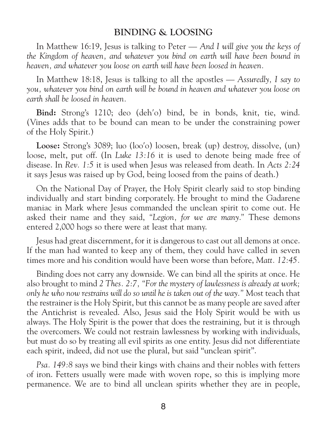### **BINDING & LOOSING**

In Matthew 16:19, Jesus is talking to Peter — *And I will give you the keys of the Kingdom of heaven, and whatever you bind on earth will have been bound in heaven, and whatever you loose on earth will have been loosed in heaven.*

In Matthew 18:18, Jesus is talking to all the apostles — *Assuredly, I say to you, whatever you bind on earth will be bound in heaven and whatever you loose on earth shall be loosed in heaven.*

**Bind:** Strong's 1210; deo (dehʹo) bind, be in bonds, knit, tie, wind. (Vines adds that to be bound can mean to be under the constraining power of the Holy Spirit.)

**Loose:** Strong's 3089; luo (looʹo) loosen, break (up) destroy, dissolve, (un) loose, melt, put off. (In *Luke 13:16* it is used to denote being made free of disease. In *Rev. 1:5* it is used when Jesus was released from death. In *Acts 2:24* it says Jesus was raised up by God, being loosed from the pains of death.)

On the National Day of Prayer, the Holy Spirit clearly said to stop binding individually and start binding corporately. He brought to mind the Gadarene maniac in Mark where Jesus commanded the unclean spirit to come out. He asked their name and they said, *"Legion, for we are many."* These demons entered 2,000 hogs so there were at least that many.

Jesus had great discernment, for it is dangerous to cast out all demons at once. If the man had wanted to keep any of them, they could have called in seven times more and his condition would have been worse than before, *Matt. 12:45.*

Binding does not carry any downside. We can bind all the spirits at once. He also brought to mind *2 Thes. 2:7, "For the mystery of lawlessness is already at work; only he who now restrains will do so until he is taken out of the way."* Most teach that the restrainer is the Holy Spirit, but this cannot be as many people are saved after the Antichrist is revealed. Also, Jesus said the Holy Spirit would be with us always. The Holy Spirit is the power that does the restraining, but it is through the overcomers. We could not restrain lawlessness by working with individuals, but must do so by treating all evil spirits as one entity. Jesus did not differentiate each spirit, indeed, did not use the plural, but said "unclean spirit".

*Psa. 149:8* says we bind their kings with chains and their nobles with fetters of iron. Fetters usually were made with woven rope, so this is implying more permanence. We are to bind all unclean spirits whether they are in people,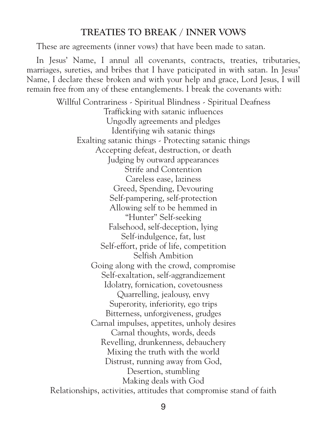### **TREATIES TO BREAK / INNER VOWS**

These are agreements (inner vows) that have been made to satan.

In Jesus' Name, I annul all covenants, contracts, treaties, tributaries, marriages, sureties, and bribes that I have paticipated in with satan. In Jesus' Name, I declare these broken and with your help and grace, Lord Jesus, I will remain free from any of these entanglements. I break the covenants with:

Willful Contrariness - Spiritual Blindness - Spiritual Deafness Trafficking with satanic influences Ungodly agreements and pledges Identifying wih satanic things Exalting satanic things - Protecting satanic things Accepting defeat, destruction, or death Judging by outward appearances Strife and Contention Careless ease, laziness Greed, Spending, Devouring Self-pampering, self-protection Allowing self to be hemmed in "Hunter" Self-seeking Falsehood, self-deception, lying Self-indulgence, fat, lust Self-effort, pride of life, competition Selfish Ambition Going along with the crowd, compromise Self-exaltation, self-aggrandizement Idolatry, fornication, covetousness Quarrelling, jealousy, envy Superority, inferiority, ego trips Bitterness, unforgiveness, grudges Carnal impulses, appetites, unholy desires Carnal thoughts, words, deeds Revelling, drunkenness, debauchery Mixing the truth with the world Distrust, running away from God, Desertion, stumbling Making deals with God Relationships, activities, attitudes that compromise stand of faith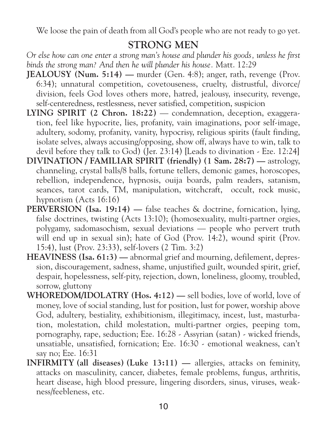We loose the pain of death from all God's people who are not ready to go yet.

### **STRONG MEN**

*Or else how can one enter a strong man's house and plunder his goods, unless he first binds the strong man? And then he will plunder his house.* Matt. 12:29

- **JEALOUSY** (Num. 5:14) murder (Gen. 4:8); anger, rath, revenge (Prov. 6:34); unnatural competition, covetouseness, cruelty, distrustful, divorce/ division, feels God loves others more, hatred, jealousy, insecurity, revenge, self-centeredness, restlessness, never satisfied, competition, suspicion
- **LYING SPIRIT (2 Chron. 18:22)**condemnation, deception, exaggeration, feel like hypocrite, lies, profanity, vain imaginations, poor self-image, adultery, sodomy, profanity, vanity, hypocrisy, religious spirits (fault finding, isolate selves, always accusing/opposing, show off, always have to win, talk to devil before they talk to God)  $(\text{Ier. 23:14})$  ILeads to divination - Eze. 12:24]
- **DIVINATION / FAMILIAR SPIRIT (friendly) (1 Sam. 28:7)** astrology, channeling, crystal balls/8 balls, fortune tellers, demonic games, horoscopes, rebellion, independence, hypnosis, ouija boards, palm readers, satanism, seances, tarot cards, TM, manipulation, witchcraft, occult, rock music, hypnotism (Acts 16:16)
- **PERVERSION (Isa. 19:14)** false teaches & doctrine, fornication, lying, false doctrines, twisting (Acts 13:10); (homosexuality, multi-partner orgies, polygamy, sadomasochism, sexual deviations — people who pervert truth will end up in sexual sin); hate of God (Prov. 14:2), wound spirit (Prov. 15:4), lust (Prov. 23:33), self-lovers (2 Tim. 3:2)
- **HEAVINESS (Isa. 61:3)** abnormal grief and mourning, defilement, depression, discouragement, sadness, shame, unjustified guilt, wounded spirit, grief, despair, hopelessness, self-pity, rejection, down, loneliness, gloomy, troubled, sorrow, gluttony
- **WHOREDOM/IDOLATRY (Hos. 4:12)** sell bodies, love of world, love of money, love of social standing, lust for position, lust for power, worship above God, adultery, bestiality, exhibitionism, illegitimacy, incest, lust, masturbation, molestation, child molestation, multi-partner orgies, peeping tom, pornography, rape, seduction; Eze. 16:28 - Assyrian (satan) - wicked friends, unsatiable, unsatisfied, fornication; Eze. 16:30 - emotional weakness, can't say no; Eze. 16:31
- **INFIRMITY (all diseases) (Luke 13:11)** allergies, attacks on feminity, attacks on masculinity, cancer, diabetes, female problems, fungus, arthritis, heart disease, high blood pressure, lingering disorders, sinus, viruses, weakness/feebleness, etc.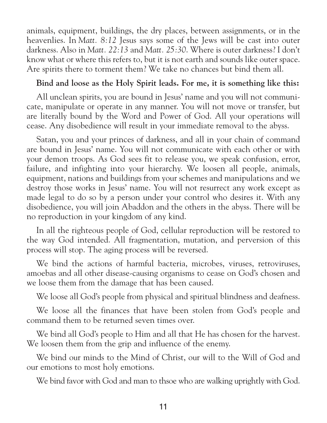animals, equipment, buildings, the dry places, between assignments, or in the heavenlies. In *Matt. 8:12* Jesus says some of the Jews will be cast into outer darkness. Also in *Matt. 22:13* and *Matt. 25:30*. Where is outer darkness? I don't know what or where this refers to, but it is not earth and sounds like outer space. Are spirits there to torment them? We take no chances but bind them all.

### **Bind and loose as the Holy Spirit leads. For me, it is something like this:**

All unclean spirits, you are bound in Jesus' name and you will not communicate, manipulate or operate in any manner. You will not move or transfer, but are literally bound by the Word and Power of God. All your operations will cease. Any disobedience will result in your immediate removal to the abyss.

Satan, you and your princes of darkness, and all in your chain of command are bound in Jesus' name. You will not communicate with each other or with your demon troops. As God sees fit to release you, we speak confusion, error, failure, and infighting into your hierarchy. We loosen all people, animals, equipment, nations and buildings from your schemes and manipulations and we destroy those works in Jesus' name. You will not resurrect any work except as made legal to do so by a person under your control who desires it. With any disobedience, you will join Abaddon and the others in the abyss. There will be no reproduction in your kingdom of any kind.

In all the righteous people of God, cellular reproduction will be restored to the way God intended. All fragmentation, mutation, and perversion of this process will stop. The aging process will be reversed.

We bind the actions of harmful bacteria, microbes, viruses, retroviruses, amoebas and all other disease-causing organisms to cease on God's chosen and we loose them from the damage that has been caused.

We loose all God's people from physical and spiritual blindness and deafness.

We loose all the finances that have been stolen from God's people and command them to be returned seven times over.

We bind all God's people to Him and all that He has chosen for the harvest. We loosen them from the grip and influence of the enemy.

We bind our minds to the Mind of Christ, our will to the Will of God and our emotions to most holy emotions.

We bind favor with God and man to thsoe who are walking uprightly with God.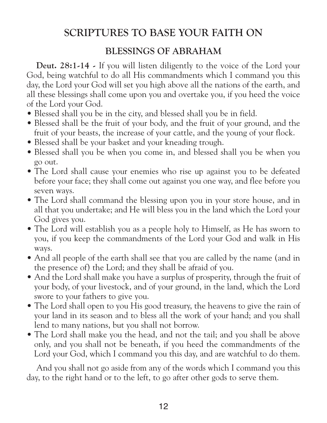## **SCRIPTURES TO BASE YOUR FAITH ON**

### **BLESSINGS OF ABRAHAM**

**Deut. 28:1-14 -** If you will listen diligently to the voice of the Lord your God, being watchful to do all His commandments which I command you this day, the Lord your God will set you high above all the nations of the earth, and all these blessings shall come upon you and overtake you, if you heed the voice of the Lord your God.

- Blessed shall you be in the city, and blessed shall you be in field.
- Blessed shall be the fruit of your body, and the fruit of your ground, and the fruit of your beasts, the increase of your cattle, and the young of your flock.
- Blessed shall be your basket and your kneading trough.
- Blessed shall you be when you come in, and blessed shall you be when you go out.
- The Lord shall cause your enemies who rise up against you to be defeated before your face; they shall come out against you one way, and flee before you seven ways.
- The Lord shall command the blessing upon you in your store house, and in all that you undertake; and He will bless you in the land which the Lord your God gives you.
- The Lord will establish you as a people holy to Himself, as He has sworn to you, if you keep the commandments of the Lord your God and walk in His ways.
- And all people of the earth shall see that you are called by the name (and in the presence of) the Lord; and they shall be afraid of you.
- And the Lord shall make you have a surplus of prosperity, through the fruit of your body, of your livestock, and of your ground, in the land, which the Lord swore to your fathers to give you.
- The Lord shall open to you His good treasury, the heavens to give the rain of your land in its season and to bless all the work of your hand; and you shall lend to many nations, but you shall not borrow.
- The Lord shall make you the head, and not the tail; and you shall be above only, and you shall not be beneath, if you heed the commandments of the Lord your God, which I command you this day, and are watchful to do them.

And you shall not go aside from any of the words which I command you this day, to the right hand or to the left, to go after other gods to serve them.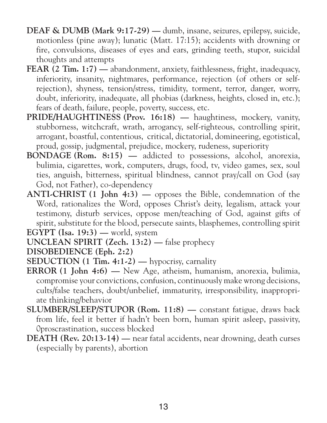- **DEAF & DUMB (Mark 9:17-29)** dumb, insane, seizures, epilepsy, suicide, motionless (pine away); lunatic (Matt. 17:15); accidents with drowning or fire, convulsions, diseases of eyes and ears, grinding teeth, stupor, suicidal thoughts and attempts
- **FEAR (2 Tim. 1:7)** abandonment, anxiety, faithlessness, fright, inadequacy, inferiority, insanity, nightmares, performance, rejection (of others or selfrejection), shyness, tension/stress, timidity, torment, terror, danger, worry, doubt, inferiority, inadequate, all phobias (darkness, heights, closed in, etc.); fears of death, failure, people, poverty, success, etc.
- **PRIDE/HAUGHTINESS (Prov. 16:18)** haughtiness, mockery, vanity, stubborness, witchcraft, wrath, arrogancy, self-righteous, controlling spirit, arrogant, boastful, contentious, critical, dictatorial, domineering, egotistical, proud, gossip, judgmental, prejudice, mockery, rudeness, superiority
- **BONDAGE (Rom. 8:15)** addicted to possessions, alcohol, anorexia, bulimia, cigarettes, work, computers, drugs, food, tv, video games, sex, soul ties, anguish, bitterness, spiritual blindness, cannot pray/call on God (say God, not Father), co-dependency
- **ANTI-CHRIST (1 John 4:3)** opposes the Bible, condemnation of the Word, rationalizes the Word, opposes Christ's deity, legalism, attack your testimony, disturb services, oppose men/teaching of God, against gifts of spirit, substitute for the blood, persecute saints, blasphemes, controlling spirit **EGYPT (Isa. 19:3) —** world, system
- **UNCLEAN SPIRIT (Zech. 13:2)** false prophecy
- **DISOBEDIENCE (Eph. 2:2)**
- **SEDUCTION** (1 Tim. 4:1-2) hypocrisy, carnality
- **ERROR (1 John 4:6)** New Age, atheism, humanism, anorexia, bulimia, compromise your convictions, confusion, continuously make wrong decisions, cults/false teachers, doubt/unbelief, immaturity, irresponsibility, inappropriate thinking/behavior
- **SLUMBER/SLEEP/STUPOR (Rom. 11:8)** constant fatigue, draws back from life, feel it better if hadn't been born, human spirit asleep, passivity, 0proscrastination, success blocked
- **DEATH (Rev. 20:13-14)** near fatal accidents, near drowning, death curses (especially by parents), abortion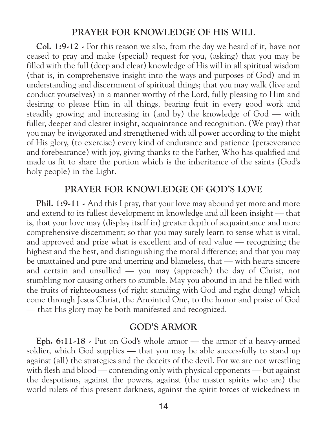### **PRAYER FOR KNOWLEDGE OF HIS WILL**

**Col. 1:9-12 -** For this reason we also, from the day we heard of it, have not ceased to pray and make (special) request for you, (asking) that you may be filled with the full (deep and clear) knowledge of His will in all spiritual wisdom (that is, in comprehensive insight into the ways and purposes of God) and in understanding and discernment of spiritual things; that you may walk (live and conduct yourselves) in a manner worthy of the Lord, fully pleasing to Him and desiring to please Him in all things, bearing fruit in every good work and steadily growing and increasing in (and by) the knowledge of God — with fuller, deeper and clearer insight, acquaintance and recognition. (We pray) that you may be invigorated and strengthened with all power according to the might of His glory, (to exercise) every kind of endurance and patience (perseverance and forebearance) with joy, giving thanks to the Father, Who has qualified and made us fit to share the portion which is the inheritance of the saints (God's holy people) in the Light.

### **PRAYER FOR KNOWLEDGE OF GOD'S LOVE**

**Phil. 1:9-11 -** And this I pray, that your love may abound yet more and more and extend to its fullest development in knowledge and all keen insight — that is, that your love may (display itself in) greater depth of acquaintance and more comprehensive discernment; so that you may surely learn to sense what is vital, and approved and prize what is excellent and of real value — recognizing the highest and the best, and distinguishing the moral difference; and that you may be unattained and pure and unerring and blameless, that — with hearts sincere and certain and unsullied — you may (approach) the day of Christ, not stumbling nor causing others to stumble. May you abound in and be filled with the fruits of righteousness (of right standing with God and right doing) which come through Jesus Christ, the Anointed One, to the honor and praise of God — that His glory may be both manifested and recognized.

### **GOD'S ARMOR**

**Eph. 6:11-18 -** Put on God's whole armor — the armor of a heavy-armed soldier, which God supplies — that you may be able successfully to stand up against (all) the strategies and the deceits of the devil. For we are not wrestling with flesh and blood — contending only with physical opponents — but against the despotisms, against the powers, against (the master spirits who are) the world rulers of this present darkness, against the spirit forces of wickedness in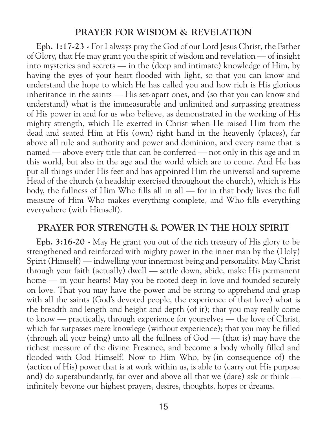### **PRAYER FOR WISDOM & REVELATION**

**Eph. 1:17-23 -** For I always pray the God of our Lord Jesus Christ, the Father of Glory, that He may grant you the spirit of wisdom and revelation — of insight into mysteries and secrets — in the (deep and intimate) knowledge of Him, by having the eyes of your heart flooded with light, so that you can know and understand the hope to which He has called you and how rich is His glorious inheritance in the saints — His set-apart ones, and (so that you can know and understand) what is the immeasurable and unlimited and surpassing greatness of His power in and for us who believe, as demonstrated in the working of His mighty strength, which He exerted in Christ when He raised Him from the dead and seated Him at His (own) right hand in the heavenly (places), far above all rule and authority and power and dominion, and every name that is named — above every title that can be conferred — not only in this age and in this world, but also in the age and the world which are to come. And He has put all things under His feet and has appointed Him the universal and supreme Head of the church (a headship exercised throughout the church), which is His body, the fullness of Him Who fills all in all — for in that body lives the full measure of Him Who makes everything complete, and Who fills everything everywhere (with Himself).

### **PRAYER FOR STRENGTH & POWER IN THE HOLY SPIRIT**

**Eph. 3:16-20 -** May He grant you out of the rich treasury of His glory to be strengthened and reinforced with mighty power in the inner man by the (Holy) Spirit (Himself) — indwelling your innermost being and personality. May Christ through your faith (actually) dwell — settle down, abide, make His permanent home — in your hearts! May you be rooted deep in love and founded securely on love. That you may have the power and be strong to apprehend and grasp with all the saints (God's devoted people, the experience of that love) what is the breadth and length and height and depth (of it); that you may really come to know — practically, through experience for yourselves — the love of Christ, which far surpasses mere knowlege (without experience); that you may be filled (through all your being) unto all the fullness of God — (that is) may have the richest measure of the divine Presence, and become a body wholly filled and flooded with God Himself! Now to Him Who, by (in consequence of) the (action of His) power that is at work within us, is able to (carry out His purpose and) do superabundantly, far over and above all that we (dare) ask or think infinitely beyone our highest prayers, desires, thoughts, hopes or dreams.